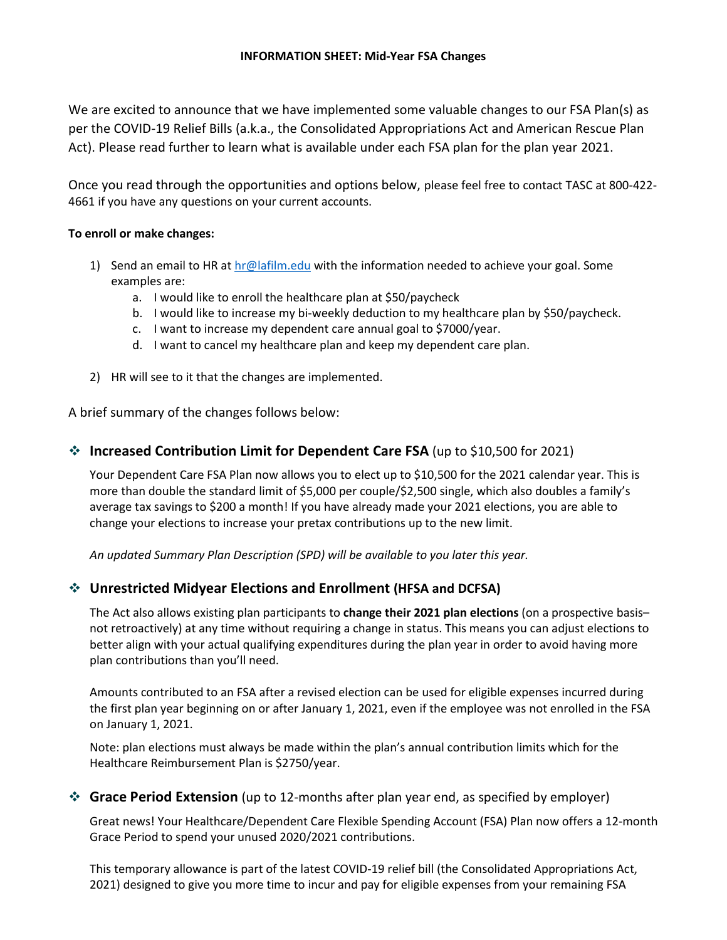We are excited to announce that we have implemented some valuable changes to our FSA Plan(s) as per the COVID-19 Relief Bills (a.k.a., the Consolidated Appropriations Act and American Rescue Plan Act). Please read further to learn what is available under each FSA plan for the plan year 2021.

Once you read through the opportunities and options below, please feel free to contact TASC at 800-422- 4661 if you have any questions on your current accounts.

#### **To enroll or make changes:**

- 1) Send an email to HR at  $hr@lafilm.edu$  with the information needed to achieve your goal. Some examples are:
	- a. I would like to enroll the healthcare plan at \$50/paycheck
	- b. I would like to increase my bi-weekly deduction to my healthcare plan by \$50/paycheck.
	- c. I want to increase my dependent care annual goal to \$7000/year.
	- d. I want to cancel my healthcare plan and keep my dependent care plan.
- 2) HR will see to it that the changes are implemented.

A brief summary of the changes follows below:

### ❖ **Increased Contribution Limit for Dependent Care FSA** (up to \$10,500 for 2021)

Your Dependent Care FSA Plan now allows you to elect up to \$10,500 for the 2021 calendar year. This is more than double the standard limit of \$5,000 per couple/\$2,500 single, which also doubles a family's average tax savings to \$200 a month! If you have already made your 2021 elections, you are able to change your elections to increase your pretax contributions up to the new limit.

*An updated Summary Plan Description (SPD) will be available to you later this year.*

## ❖ **Unrestricted Midyear Elections and Enrollment (HFSA and DCFSA)**

The Act also allows existing plan participants to **change their 2021 plan elections** (on a prospective basis– not retroactively) at any time without requiring a change in status. This means you can adjust elections to better align with your actual qualifying expenditures during the plan year in order to avoid having more plan contributions than you'll need.

Amounts contributed to an FSA after a revised election can be used for eligible expenses incurred during the first plan year beginning on or after January 1, 2021, even if the employee was not enrolled in the FSA on January 1, 2021.

Note: plan elections must always be made within the plan's annual contribution limits which for the Healthcare Reimbursement Plan is \$2750/year.

### ❖ **Grace Period Extension** (up to 12-months after plan year end, as specified by employer)

Great news! Your Healthcare/Dependent Care Flexible Spending Account (FSA) Plan now offers a 12-month Grace Period to spend your unused 2020/2021 contributions.

This temporary allowance is part of the latest COVID-19 relief bill (the Consolidated Appropriations Act, 2021) designed to give you more time to incur and pay for eligible expenses from your remaining FSA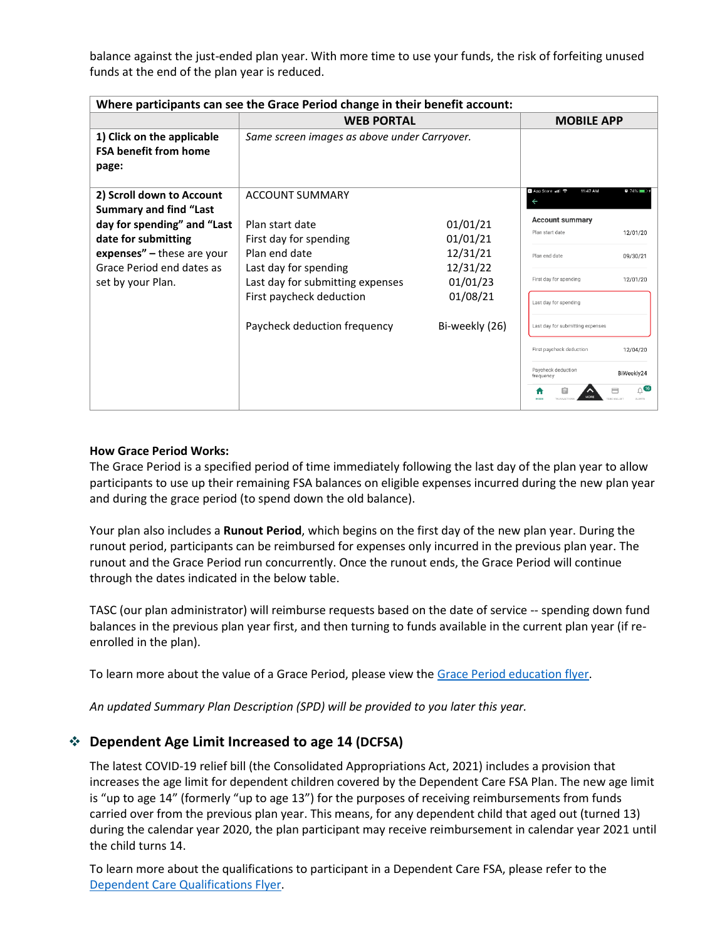balance against the just-ended plan year. With more time to use your funds, the risk of forfeiting unused funds at the end of the plan year is reduced.

| Where participants can see the Grace Period change in their benefit account: |                                                           |                      |                                           |               |
|------------------------------------------------------------------------------|-----------------------------------------------------------|----------------------|-------------------------------------------|---------------|
|                                                                              | <b>WEB PORTAL</b>                                         |                      | <b>MOBILE APP</b>                         |               |
| 1) Click on the applicable<br><b>FSA benefit from home</b><br>page:          | Same screen images as above under Carryover.              |                      |                                           |               |
| 2) Scroll down to Account<br><b>Summary and find "Last</b>                   | <b>ACCOUNT SUMMARY</b>                                    |                      | <b>B</b> App Store all 令<br>11:47 AM      | $\bullet$ 74% |
| day for spending" and "Last                                                  | Plan start date                                           | 01/01/21             | <b>Account summary</b><br>Plan start date | 12/01/20      |
| date for submitting                                                          | First day for spending                                    | 01/01/21             |                                           |               |
| expenses" $-$ these are your<br>Grace Period end dates as                    | Plan end date                                             | 12/31/21             | Plan end date                             | 09/30/21      |
| set by your Plan.                                                            | Last day for spending<br>Last day for submitting expenses | 12/31/22<br>01/01/23 | First day for spending                    | 12/01/20      |
|                                                                              | First paycheck deduction                                  | 01/08/21             | Last day for spending                     |               |
|                                                                              | Paycheck deduction frequency                              | Bi-weekly (26)       | Last day for submitting expenses          |               |
|                                                                              |                                                           |                      | First paycheck deduction                  | 12/04/20      |
|                                                                              |                                                           |                      | Paycheck deduction<br>frequency           | BiWeekly24    |
|                                                                              |                                                           |                      |                                           | 【16           |

#### **How Grace Period Works:**

The Grace Period is a specified period of time immediately following the last day of the plan year to allow participants to use up their remaining FSA balances on eligible expenses incurred during the new plan year and during the grace period (to spend down the old balance).

Your plan also includes a **Runout Period**, which begins on the first day of the new plan year. During the runout period, participants can be reimbursed for expenses only incurred in the previous plan year. The runout and the Grace Period run concurrently. Once the runout ends, the Grace Period will continue through the dates indicated in the below table.

TASC (our plan administrator) will reimburse requests based on the date of service -- spending down fund balances in the previous plan year first, and then turning to funds available in the current plan year (if reenrolled in the plan).

To learn more about the value of a Grace Period, please view the [Grace Period education flyer.](https://www.tasconline.com/uploads/uba_files/FX-6624-012921%20Grace%20Period%20HFSA%20LPFSA%20DCFSA.pdf)

*An updated Summary Plan Description (SPD) will be provided to you later this year.*

### ❖ **Dependent Age Limit Increased to age 14 (DCFSA)**

The latest COVID-19 relief bill (the Consolidated Appropriations Act, 2021) includes a provision that increases the age limit for dependent children covered by the Dependent Care FSA Plan. The new age limit is "up to age 14" (formerly "up to age 13") for the purposes of receiving reimbursements from funds carried over from the previous plan year. This means, for any dependent child that aged out (turned 13) during the calendar year 2020, the plan participant may receive reimbursement in calendar year 2021 until the child turns 14.

To learn more about the qualifications to participant in a Dependent Care FSA, please refer to the [Dependent Care Qualifications Flyer.](https://www.tasconline.com/uploads/uba_files/FX-3166-011421%20Dependent%20Care%20FSA%20Qualifications.pdf)